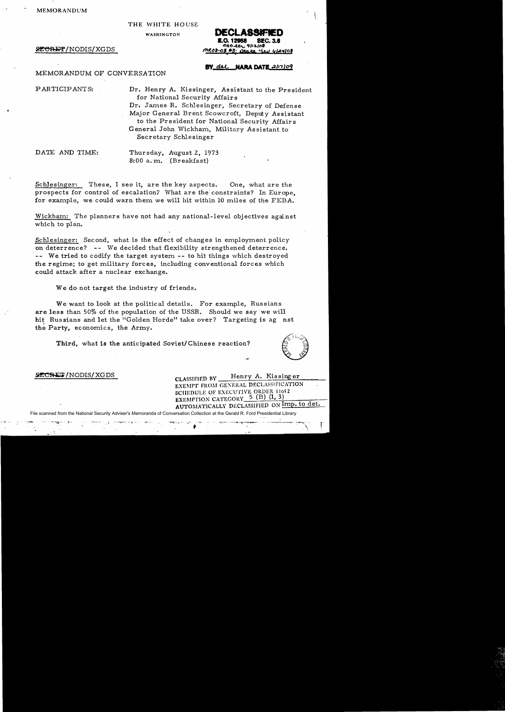$\blacksquare$ MEMORANDUM (  $\blacksquare$ 

## THE WHITE HOUSE

WASfIINGTON

**SECRET/NODIS/XGDS** 

## **DECLASSIFIED SEC. 3.6 Q. 12958** 250-222 9/12/08 MRO8-03 #3: Otake Yev Glaylor

MEMORANDUM OF CONVERSATION

## BY dal HARA DATE 21.7109

PARTICIPANTS: Dr. Henry A. Kissinger, Assistant to the President for National Security Affairs Dr. James R. Schlesinger, Secretary of Defense Major General Brent Scowcroft, Deputy Assistant to the President for National Security Affairs General John Wickham, Military Assistant to Secretary Schlesinger

DATE AND TIME: Thursday, August 2, 1973 8:00 a.m. (Breakfast)

Schlesinger: These, I see it, are the key aspects. One, what are the prospects for control of escalation7 What are the' constraints? In Europe, for example, we could warn them we will hit within 10 miles of the FEBA.

Wickham: The planners have not had any national-level objectives against which to plan.

Schlesinger: Second, what is the effect of changes in employment policy on deterrence? -- We decided that flexibility strengthened deterrence. -- We tried to codify the target system -- to hit things which destroyed the regime; to get military forces, including conventional forces which could attack after a nuclear exchange.

We do not target the industry of friends.

We want to look at the political details. For example, Russians are less than 50% of the population of the USSR. Should we say we will hit Russians and let the "Golden Horde" take over? Targeting is ag nst the Party, economics, the Army.

Third, what is the anticipated Soviet/Chinese reaction?



SECRET/NODIS/XGDS CLASSIFIED BY Henry A. Kissing er

EXEMPT FROM GENERAL DECLASSIFICATION SCHEDULE OF EXECUTIVE ORDER 11652 EXEMPTION CATEGORY  $5$  (B) (1, 3) AUTOMATICALLY DECLASSIFIED ON Imp. to det.

File scanned from the National Security Adviser's Memoranda of Conversation Collection at the Gerald R. Ford Presidential Library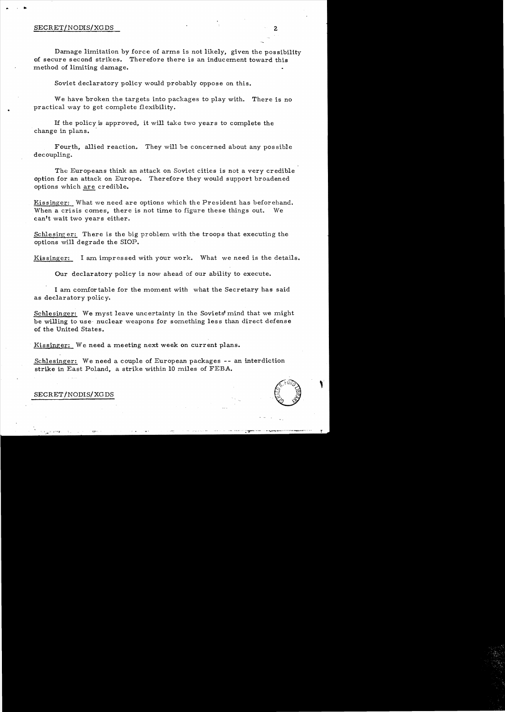$\mathbf{r}$ 

..

Damage limitation by force of arms is not likely, given the possibility of secure second strikes. Therefore there is an inducement toward this method of limiting damage.

Soviet declaratory policy would probably oppose on this.

We have broken the targets into packages to play with. There is no practical way to get complete flexibility.

If the policy is approved, it will take two years to complete the change in plans.

Fourth, allied reaction. They will be concerned about any possible decoupling.

The Europeans think an attack on Soviet cities is not a very credible option for an attack on Europe. Therefore they would support broadened options which are credible.

Kissinger: What we need are options which the President has beforehand. When a crisis comes, there is not time to figure these things out. We can't wait two years either.

Schlesing er: There is the big problem with the troops that executing the options will degrade the SlOP.

Kissinger: I am impressed with your work. What we need is the details.

Our declaratory policy is now ahead of our ability to execute.

I am comfortable for the moment with what the Secretary has said as declaratory policy.

Schlesinger: We myst leave uncertainty in the Soviets'mind that we might be willing to use· nuclear weapons for something less than direct defense of the United States.

Kissinger: We need a meeting next week on current plans.

Schlesinger: We need a couple of European packages -- an interdiction strike in East Poland, a strike within 10 miles of FEBA.



SECRET/NODIS/XGDS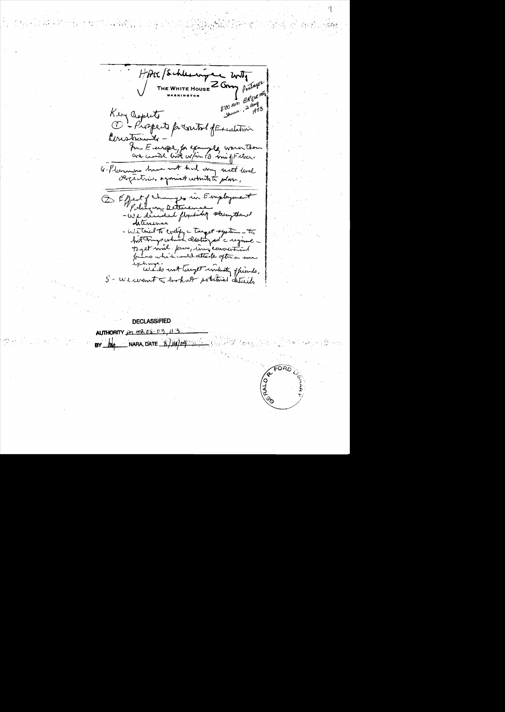HAK / Schlesni are with THE WHITE HOUSE **2 GMM** Pentagon  $\begin{array}{c}\n\downarrow & \beta k \beta t \frac{m}{4} \\
\downarrow & \beta k \beta t \frac{m}{4} \\
\downarrow & \lambda \frac{m}{4} \\
\downarrow & \lambda \frac{m}{4} \\
\end{array}$ Kein aspects for southof for calation Construits For Europe, for example warm them unions have not had any until level G-Planning hav E Effect of changes in Employment -We decided flywork stringthouse - We tried to everyon a target system - to Toget will promptive corrocation wedo with the industry of finds. S - We want to broke or potential detects

**DECLASSIFIED ALITHORITY**  $mR0800$ NARA, DATE\_

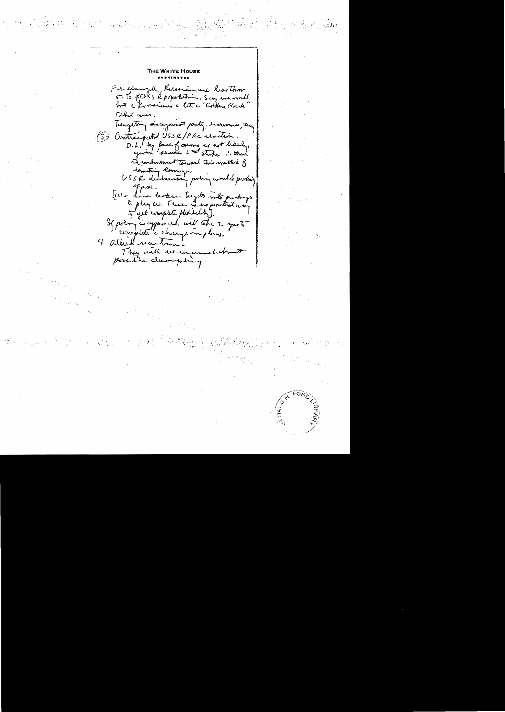THE WHITE HOUSE For example, Russian are learthour<br>5 To fals 5 Rp oportation. Say we would Tekex aun. Targeton as against party, eccurring dung 3) Contraspeted USSR/PRC reaction. D.L. by face of carms is not been, its includencent Toward this mather of USSR declarating poing would probably EU e have boken tagets into packing If poem is approved, will take 2 aprote 4 albert vaction They will be emanded not

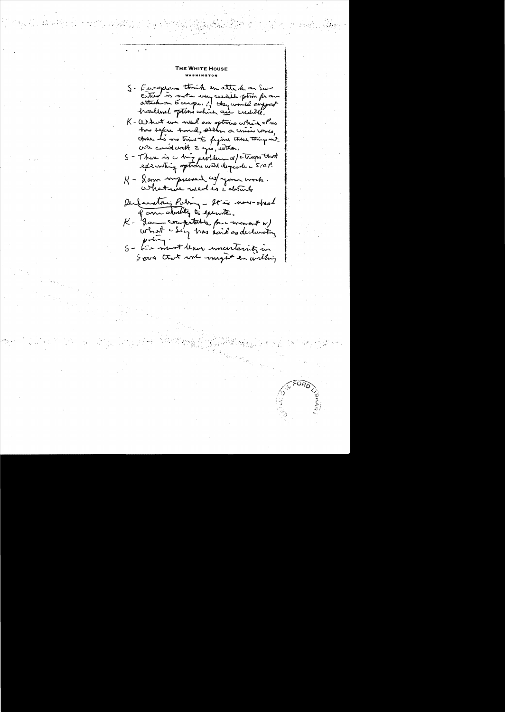THE WHITE HOUS S- Europrans think an attende on Sav entier is water were exclude form for an hoodlenel options which are credibile, K - What we wind are sptrains where I'ves has safere hand, sellen a crisis comes, tros Is no time to fyine these thing mit S - There is a big peoplement of atrops that K - gam impressed co/ your work. Declarating Paling - Star wow opened of am abrility to execute. K - game computation for a woment w/ S - Les most leave uncertaintz in Soons trat wie - myself in withing